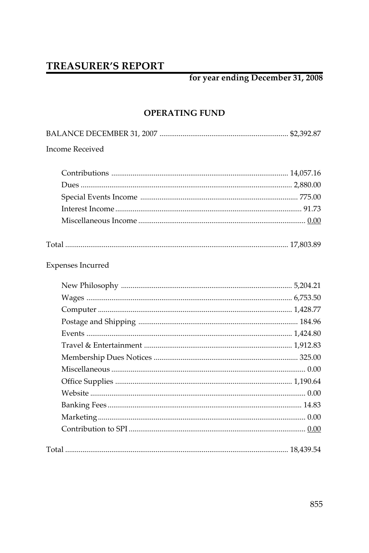# **TREASURER'S REPORT**

# for year ending December 31, 2008

## **OPERATING FUND**

| <b>Income Received</b>   |  |
|--------------------------|--|
|                          |  |
|                          |  |
|                          |  |
|                          |  |
|                          |  |
|                          |  |
| <b>Expenses Incurred</b> |  |
|                          |  |
|                          |  |
|                          |  |
|                          |  |
|                          |  |
|                          |  |
|                          |  |
|                          |  |
|                          |  |
|                          |  |
|                          |  |
|                          |  |
|                          |  |
|                          |  |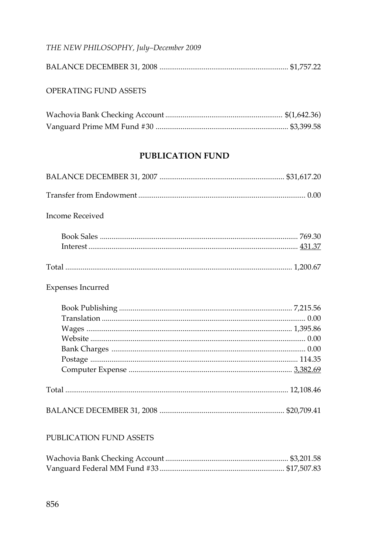## THE NEW PHILOSOPHY, July-December 2009

### OPERATING FUND ASSETS

## **PUBLICATION FUND**

| <b>Income Received</b>  |  |
|-------------------------|--|
|                         |  |
|                         |  |
|                         |  |
| Expenses Incurred       |  |
|                         |  |
|                         |  |
|                         |  |
|                         |  |
|                         |  |
|                         |  |
|                         |  |
|                         |  |
|                         |  |
| PUBLICATION FUND ASSETS |  |

#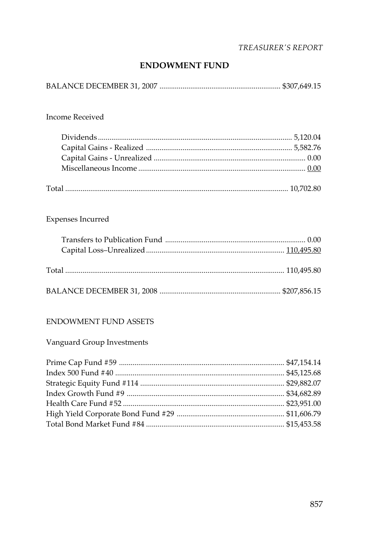## **TREASURER'S REPORT**

#### **ENDOWMENT FUND**

|--|--|

#### **Income Received**

## Expenses Incurred

#### ENDOWMENT FUND ASSETS

## Vanguard Group Investments